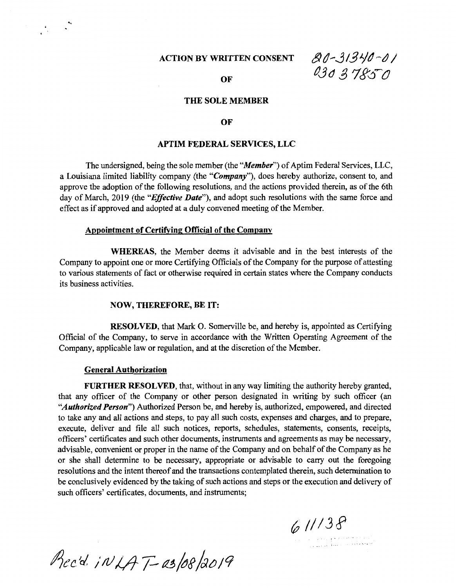# **ACTION BY WRITTEN CONSENT**

*&d--.Jl-3J./d,-J* / **03037850** 

#### **OF**

## **THE SOLE MEMBER**

### **OF**

## **APTIM FEDERAL SERVICES, LLC**

The undersigned, being the sole member (the *"Member")* of Aptim Federal Services, LLC, a Louisiana limited liability company (the *"Company"),* does hereby authorize, consent to, and approve the adoption of the following resolutions, and the actions provided therein, as of the 6th day of March, 2019 (the *"Effective Date"),* and adopt such resolutions with the same force and effect as if approved and adopted at a duly convened meeting of the Member.

## Appointment of Certifying Official of the Company

**WHEREAS,** the Member deems it advisable and in the best interests of the Company to appoint one or more Certifying Officials of the Company for the purpose of attesting to various statements of fact or otherwise required in certain states where the Company conducts its business activities.

#### **NOW, THEREFORE, BE IT:**

**RESOLVED,** that Mark 0. Somerville be, and hereby is, appointed as Certifying Official of the Company, to serve in accordance with the Written Operating Agreement of the Company, applicable law or regulation, and at the discretion of the Member.

### **General Authorization**

**FURTHER RESOLVED,** that, without in any way limiting the authority hereby granted, that any officer of the Company or other person designated in writing by such officer (an *"Authorized Person")* Authorized Person be, and hereby is, authorized, empowered, and directed to take any and all actions and steps, to pay all such costs, expenses and charges, and to prepare, execute, deliver and file all such notices, reports, schedules, statements, consents, receipts, officers' certificates and such other documents, instruments and agreements as may be necessary, advisable, convenient or proper in the name of the Company and on behalf of the Company as he or she shall determine to be necessary, appropriate or advisable to carry out the foregoing resolutions and the intent thereof and the transactions contemplated therein, such determination to be conclusively evidenced by the taking of such actions and steps or the execution and delivery of such officers' certificates, documents, and instruments;

*(:; ///3,f* 

Prec'd. INLAT-as/08/2019